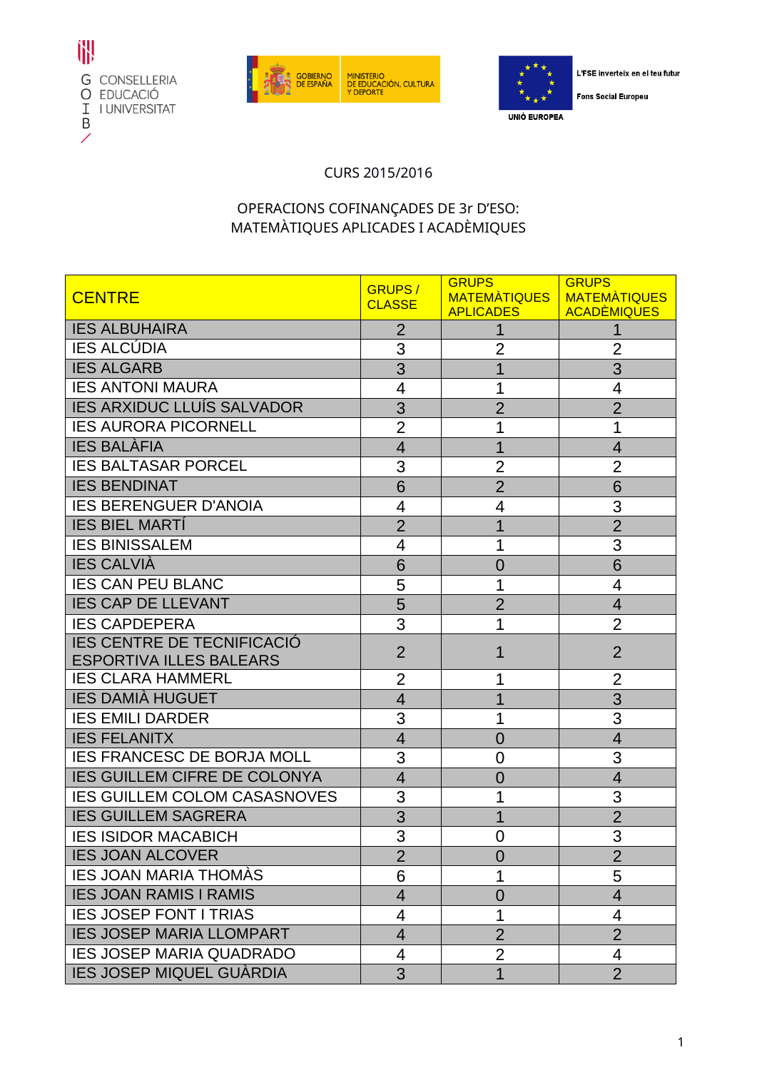





L'FSE inverteix en el teu futur

**Fons Social Europeu** 

## CURS 2015/2016

## OPERACIONS COFINANÇADES DE 3r D'ESO: MATEMÀTIQUES APLICADES I ACADÈMIQUES

| <b>CENTRE</b>                                                       | <b>GRUPS/</b><br><b>CLASSE</b> | <b>GRUPS</b><br>MATEMATIQUES<br><b>APLICADES</b> | <b>GRUPS</b><br><b>MATEMATIQUES</b><br><b>ACADÈMIQUES</b> |
|---------------------------------------------------------------------|--------------------------------|--------------------------------------------------|-----------------------------------------------------------|
| <b>IES ALBUHAIRA</b>                                                | $\overline{2}$                 |                                                  |                                                           |
| <b>IES ALCÚDIA</b>                                                  | 3                              | $\overline{2}$                                   | $\overline{2}$                                            |
| <b>IES ALGARB</b>                                                   | 3                              | 1                                                | 3                                                         |
| <b>IES ANTONI MAURA</b>                                             | 4                              |                                                  | 4                                                         |
| <b>IES ARXIDUC LLUÍS SALVADOR</b>                                   | 3                              | $\overline{2}$                                   | $\overline{2}$                                            |
| <b>IES AURORA PICORNELL</b>                                         | $\overline{2}$                 | 1                                                | 1                                                         |
| <b>IES BALÀFIA</b>                                                  | $\overline{4}$                 | 1                                                | $\overline{4}$                                            |
| <b>IES BALTASAR PORCEL</b>                                          | 3                              | 2                                                | 2                                                         |
| <b>IES BENDINAT</b>                                                 | 6                              | $\overline{2}$                                   | 6                                                         |
| <b>IES BERENGUER D'ANOIA</b>                                        | 4                              | 4                                                | 3                                                         |
| <b>IES BIEL MARTI</b>                                               | $\overline{2}$                 | 1                                                | $\overline{2}$                                            |
| <b>IES BINISSALEM</b>                                               | 4                              | 1                                                | 3                                                         |
| <b>IES CALVIÀ</b>                                                   | 6                              | 0                                                | 6                                                         |
| <b>IES CAN PEU BLANC</b>                                            | 5                              | 1                                                | 4                                                         |
| <b>IES CAP DE LLEVANT</b>                                           | 5                              | $\overline{2}$                                   | $\overline{4}$                                            |
| <b>IES CAPDEPERA</b>                                                | 3                              |                                                  | $\overline{2}$                                            |
| <b>IES CENTRE DE TECNIFICACIÓ</b><br><b>ESPORTIVA ILLES BALEARS</b> | $\overline{2}$                 | 1                                                | $\overline{2}$                                            |
| <b>IES CLARA HAMMERL</b>                                            | 2                              |                                                  | $\overline{2}$                                            |
| <b>IES DAMIÀ HUGUET</b>                                             | $\overline{4}$                 |                                                  | 3                                                         |
| <b>IES EMILI DARDER</b>                                             | 3                              |                                                  | 3                                                         |
| <b>IES FELANITX</b>                                                 | $\overline{4}$                 | 0                                                | $\overline{4}$                                            |
| <b>IES FRANCESC DE BORJA MOLL</b>                                   | 3                              | 0                                                | 3                                                         |
| <b>IES GUILLEM CIFRE DE COLONYA</b>                                 | $\overline{4}$                 | 0                                                | 4                                                         |
| <b>IES GUILLEM COLOM CASASNOVES</b>                                 | 3                              |                                                  | 3                                                         |
| <b>IES GUILLEM SAGRERA</b>                                          | 3                              |                                                  | $\overline{2}$                                            |
| <b>IES ISIDOR MACABICH</b>                                          | 3                              | 0                                                | 3                                                         |
| <b>IES JOAN ALCOVER</b>                                             | $\overline{2}$                 | 0                                                | $\overline{2}$                                            |
| <b>IES JOAN MARIA THOMAS</b>                                        | 6                              | 1                                                | 5                                                         |
| <b>IES JOAN RAMIS I RAMIS</b>                                       | 4                              | 0                                                | 4                                                         |
| <b>IES JOSEP FONT I TRIAS</b>                                       | 4                              | 1                                                | 4                                                         |
| <b>IES JOSEP MARIA LLOMPART</b>                                     | $\overline{4}$                 | $\overline{2}$                                   | $\overline{2}$                                            |
| <b>IES JOSEP MARIA QUADRADO</b>                                     | 4                              | $\overline{2}$                                   | 4                                                         |
| <b>IES JOSEP MIQUEL GUÀRDIA</b>                                     | 3                              | 1                                                | $\overline{2}$                                            |